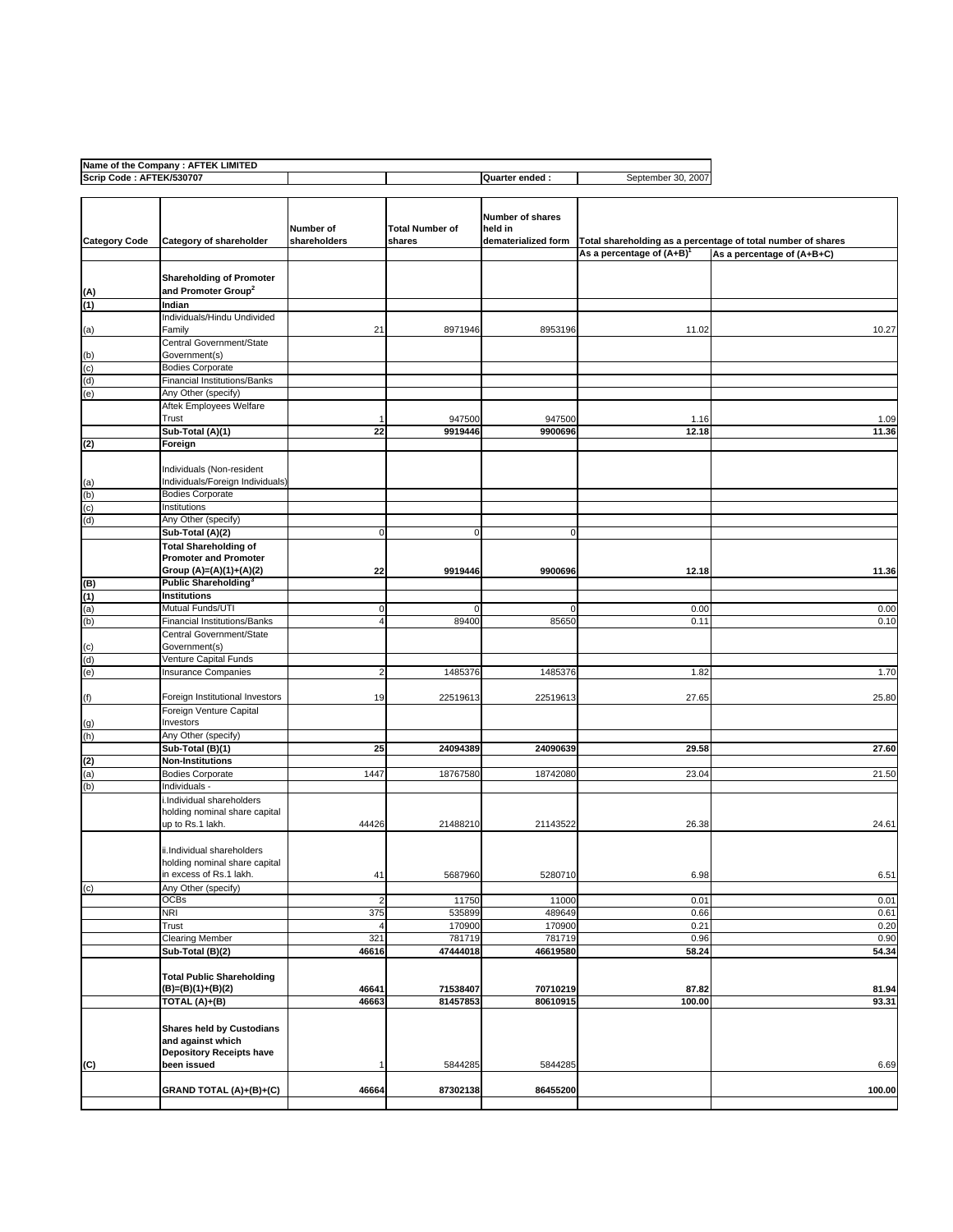| Name of the Company: AFTEK LIMITED |                                     |                          |                        |                         |                                |                                                              |
|------------------------------------|-------------------------------------|--------------------------|------------------------|-------------------------|--------------------------------|--------------------------------------------------------------|
| Scrip Code: AFTEK/530707           |                                     |                          |                        | Quarter ended :         | September 30, 2007             |                                                              |
|                                    |                                     |                          |                        |                         |                                |                                                              |
|                                    |                                     |                          |                        |                         |                                |                                                              |
|                                    |                                     |                          |                        | <b>Number of shares</b> |                                |                                                              |
|                                    |                                     | Number of                | <b>Total Number of</b> | held in                 |                                |                                                              |
| <b>Category Code</b>               | Category of shareholder             | shareholders             | shares                 | dematerialized form     |                                | Total shareholding as a percentage of total number of shares |
|                                    |                                     |                          |                        |                         |                                |                                                              |
|                                    |                                     |                          |                        |                         | As a percentage of $(A+B)^{1}$ | As a percentage of (A+B+C)                                   |
|                                    |                                     |                          |                        |                         |                                |                                                              |
|                                    | <b>Shareholding of Promoter</b>     |                          |                        |                         |                                |                                                              |
| (A)                                | and Promoter Group <sup>2</sup>     |                          |                        |                         |                                |                                                              |
| (1)                                | Indian                              |                          |                        |                         |                                |                                                              |
|                                    |                                     |                          |                        |                         |                                |                                                              |
|                                    | Individuals/Hindu Undivided         |                          |                        |                         |                                |                                                              |
| (a)                                | Family                              | 21                       | 8971946                | 8953196                 | 11.02                          | 10.27                                                        |
|                                    | Central Government/State            |                          |                        |                         |                                |                                                              |
| (b)                                | Government(s)                       |                          |                        |                         |                                |                                                              |
| (c)                                | <b>Bodies Corporate</b>             |                          |                        |                         |                                |                                                              |
|                                    |                                     |                          |                        |                         |                                |                                                              |
| (d)                                | Financial Institutions/Banks        |                          |                        |                         |                                |                                                              |
| (e)                                | Any Other (specify)                 |                          |                        |                         |                                |                                                              |
|                                    | Aftek Employees Welfare             |                          |                        |                         |                                |                                                              |
|                                    | Trust                               |                          | 947500                 | 947500                  | 1.16                           | 1.09                                                         |
|                                    | Sub-Total (A)(1)                    | 22                       | 9919446                | 9900696                 | 12.18                          | 11.36                                                        |
|                                    |                                     |                          |                        |                         |                                |                                                              |
| (2)                                | Foreign                             |                          |                        |                         |                                |                                                              |
|                                    |                                     |                          |                        |                         |                                |                                                              |
|                                    | Individuals (Non-resident           |                          |                        |                         |                                |                                                              |
| (a)                                | Individuals/Foreign Individuals)    |                          |                        |                         |                                |                                                              |
| (b)                                | <b>Bodies Corporate</b>             |                          |                        |                         |                                |                                                              |
|                                    | Institutions                        |                          |                        |                         |                                |                                                              |
| (c)                                |                                     |                          |                        |                         |                                |                                                              |
| (d)                                | Any Other (specify)                 |                          |                        |                         |                                |                                                              |
|                                    | Sub-Total (A)(2)                    | 0                        | 0                      | 0                       |                                |                                                              |
|                                    | <b>Total Shareholding of</b>        |                          |                        |                         |                                |                                                              |
|                                    | <b>Promoter and Promoter</b>        |                          |                        |                         |                                |                                                              |
|                                    |                                     |                          |                        |                         |                                |                                                              |
|                                    | Group (A)=(A)(1)+(A)(2)             | 22                       | 9919446                | 9900696                 | 12.18                          | 11.36                                                        |
| (B)                                | Public Shareholding <sup>3</sup>    |                          |                        |                         |                                |                                                              |
| (1)                                | <b>Institutions</b>                 |                          |                        |                         |                                |                                                              |
| (a)                                | Mutual Funds/UTI                    | $\mathbf 0$              | 0                      | 0                       | 0.00                           | 0.00                                                         |
| (b)                                | <b>Financial Institutions/Banks</b> | $\overline{4}$           | 89400                  | 85650                   | 0.11                           | 0.10                                                         |
|                                    | Central Government/State            |                          |                        |                         |                                |                                                              |
|                                    |                                     |                          |                        |                         |                                |                                                              |
| (c)                                | Government(s)                       |                          |                        |                         |                                |                                                              |
| (d)                                | Venture Capital Funds               |                          |                        |                         |                                |                                                              |
| (e)                                | Insurance Companies                 | $\overline{\mathbf{c}}$  | 1485376                | 1485376                 | 1.82                           | 1.70                                                         |
|                                    |                                     |                          |                        |                         |                                |                                                              |
|                                    | Foreign Institutional Investors     |                          |                        |                         |                                |                                                              |
| (f)                                |                                     | 19                       | 22519613               | 22519613                | 27.65                          | 25.80                                                        |
|                                    | Foreign Venture Capital             |                          |                        |                         |                                |                                                              |
| (g)                                | Investors                           |                          |                        |                         |                                |                                                              |
| (h)                                | Any Other (specify)                 |                          |                        |                         |                                |                                                              |
|                                    | Sub-Total (B)(1)                    | 25                       | 24094389               | 24090639                | 29.58                          | 27.60                                                        |
| (2)                                | <b>Non-Institutions</b>             |                          |                        |                         |                                |                                                              |
|                                    |                                     |                          |                        |                         |                                |                                                              |
| (a)                                | <b>Bodies Corporate</b>             | 1447                     | 18767580               | 18742080                | 23.04                          | 21.50                                                        |
| (b)                                | Individuals -                       |                          |                        |                         |                                |                                                              |
|                                    | i.Individual shareholders           |                          |                        |                         |                                |                                                              |
|                                    | holding nominal share capital       |                          |                        |                         |                                |                                                              |
|                                    | up to Rs.1 lakh.                    | 44426                    | 21488210               | 21143522                | 26.38                          | 24.61                                                        |
|                                    |                                     |                          |                        |                         |                                |                                                              |
|                                    |                                     |                          |                        |                         |                                |                                                              |
|                                    | ii.Individual shareholders          |                          |                        |                         |                                |                                                              |
|                                    | holding nominal share capital       |                          |                        |                         |                                |                                                              |
|                                    | in excess of Rs.1 lakh.             | 41                       | 5687960                | 5280710                 | 6.98                           | 6.51                                                         |
| (c)                                | Any Other (specify)                 |                          |                        |                         |                                |                                                              |
|                                    | <b>OCBs</b>                         |                          | 11750                  | 11000                   | 0.01                           | 0.01                                                         |
|                                    |                                     | $\overline{\mathbf{c}}$  |                        |                         |                                |                                                              |
|                                    | <b>NRI</b>                          | 375                      | 535899                 | 489649                  | 0.66                           | 0.61                                                         |
|                                    | Trust                               |                          | 170900                 | 170900                  | 0.21                           | 0.20                                                         |
|                                    | <b>Clearing Member</b>              | 321                      | 781719                 | 781719                  | 0.96                           | 0.90                                                         |
|                                    | Sub-Total (B)(2)                    | 46616                    | 47444018               | 46619580                | 58.24                          | 54.34                                                        |
|                                    |                                     |                          |                        |                         |                                |                                                              |
|                                    |                                     |                          |                        |                         |                                |                                                              |
|                                    | <b>Total Public Shareholding</b>    |                          |                        |                         |                                |                                                              |
|                                    | (B)=(B)(1)+(B)(2)                   | 46641                    | 71538407               | 70710219                | 87.82                          | 81.94                                                        |
|                                    | TOTAL (A)+(B)                       | 46663                    | 81457853               | 80610915                | 100.00                         | 93.31                                                        |
|                                    |                                     |                          |                        |                         |                                |                                                              |
|                                    |                                     |                          |                        |                         |                                |                                                              |
|                                    | <b>Shares held by Custodians</b>    |                          |                        |                         |                                |                                                              |
|                                    | and against which                   |                          |                        |                         |                                |                                                              |
|                                    | <b>Depository Receipts have</b>     |                          |                        |                         |                                |                                                              |
| (C)                                | been issued                         | $\overline{\phantom{a}}$ | 5844285                | 5844285                 |                                | 6.69                                                         |
|                                    |                                     |                          |                        |                         |                                |                                                              |
|                                    | GRAND TOTAL (A)+(B)+(C)             | 46664                    | 87302138               | 86455200                |                                | 100.00                                                       |
|                                    |                                     |                          |                        |                         |                                |                                                              |
|                                    |                                     |                          |                        |                         |                                |                                                              |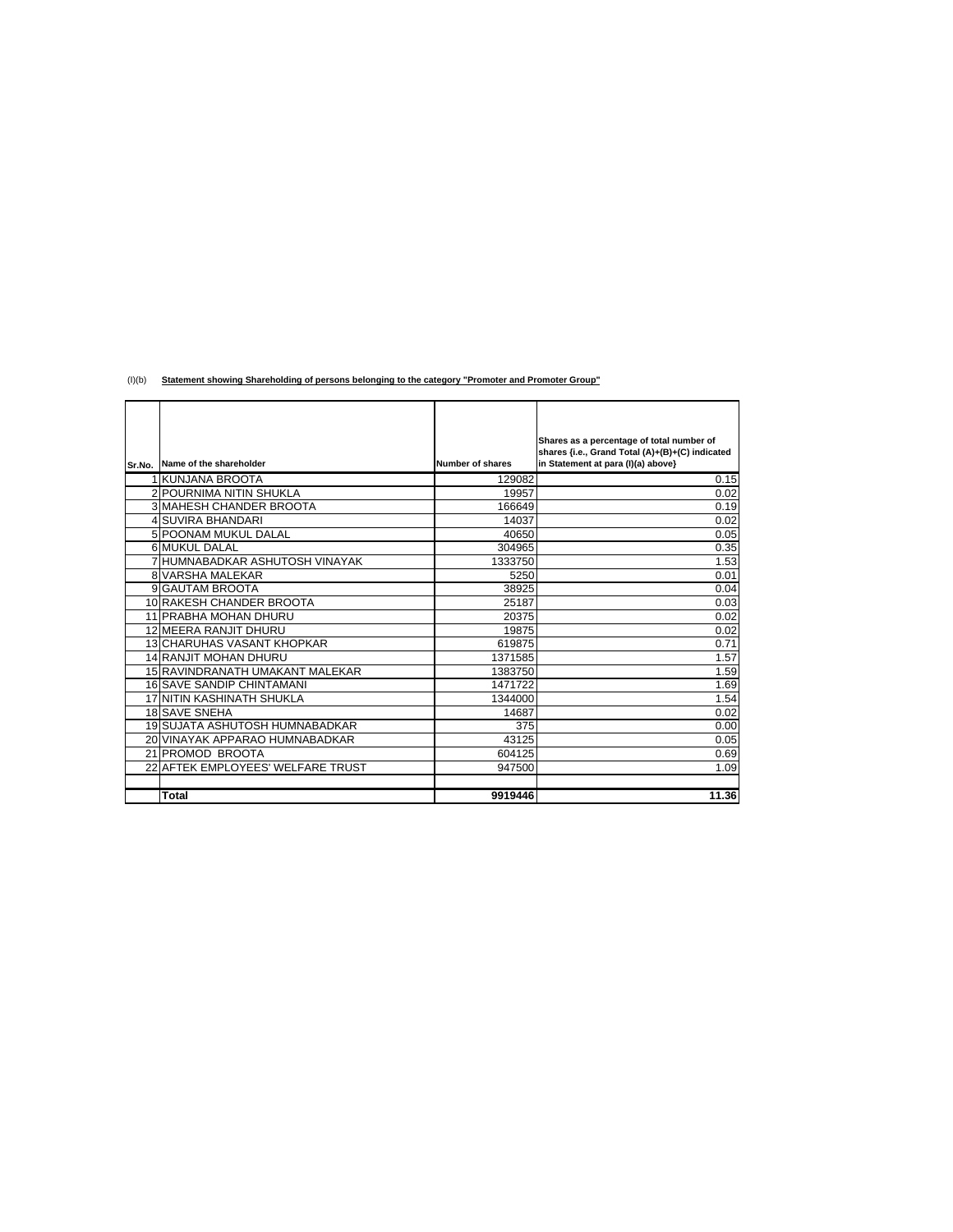(I)(b) **Statement showing Shareholding of persons belonging to the category "Promoter and Promoter Group"**

|                                   |                         | Shares as a percentage of total number of<br>shares {i.e., Grand Total (A)+(B)+(C) indicated |
|-----------------------------------|-------------------------|----------------------------------------------------------------------------------------------|
| Sr.No. Name of the shareholder    | <b>Number of shares</b> | in Statement at para (I)(a) above}                                                           |
| 1 KUNJANA BROOTA                  | 129082                  | 0.15                                                                                         |
| <b>2 POURNIMA NITIN SHUKLA</b>    | 19957                   | 0.02                                                                                         |
| <b>3 MAHESH CHANDER BROOTA</b>    | 166649                  | 0.19                                                                                         |
| <b>4 SUVIRA BHANDARI</b>          | 14037                   | 0.02                                                                                         |
| 5 POONAM MUKUL DALAL              | 40650                   | 0.05                                                                                         |
| 6 MUKUL DALAL                     | 304965                  | 0.35                                                                                         |
| 7 HUMNABADKAR ASHUTOSH VINAYAK    | 1333750                 | 1.53                                                                                         |
| <b>8 VARSHA MALEKAR</b>           | 5250                    | 0.01                                                                                         |
| 9 GAUTAM BROOTA                   | 38925                   | 0.04                                                                                         |
| 10 RAKESH CHANDER BROOTA          | 25187                   | 0.03                                                                                         |
| 11 PRABHA MOHAN DHURU             | 20375                   | 0.02                                                                                         |
| 12 MEERA RANJIT DHURU             | 19875                   | 0.02                                                                                         |
| <b>13 CHARUHAS VASANT KHOPKAR</b> | 619875                  | 0.71                                                                                         |
| <b>14 RANJIT MOHAN DHURU</b>      | 1371585                 | 1.57                                                                                         |
| 15 RAVINDRANATH UMAKANT MALEKAR   | 1383750                 | 1.59                                                                                         |
| <b>16 SAVE SANDIP CHINTAMANI</b>  | 1471722                 | 1.69                                                                                         |
| 17 NITIN KASHINATH SHUKLA         | 1344000                 | 1.54                                                                                         |
| <b>18 SAVE SNEHA</b>              | 14687                   | 0.02                                                                                         |
| 19 SUJATA ASHUTOSH HUMNABADKAR    | 375                     | 0.00                                                                                         |
| 20 VINAYAK APPARAO HUMNABADKAR    | 43125                   | 0.05                                                                                         |
| 21 PROMOD BROOTA                  | 604125                  | 0.69                                                                                         |
| 22 AFTEK EMPLOYEES' WELFARE TRUST | 947500                  | 1.09                                                                                         |
|                                   |                         |                                                                                              |
| Total                             | 9919446                 | 11.36                                                                                        |